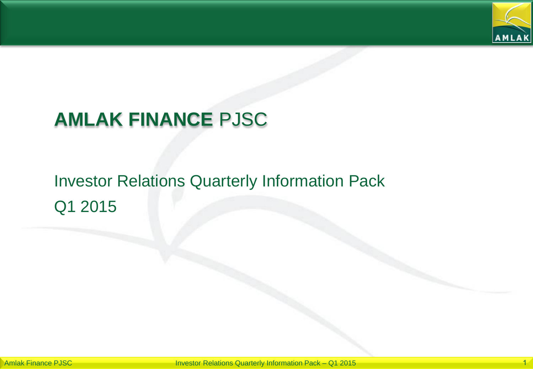

# **AMLAK FINANCE** PJSC

# Investor Relations Quarterly Information Pack Q1 2015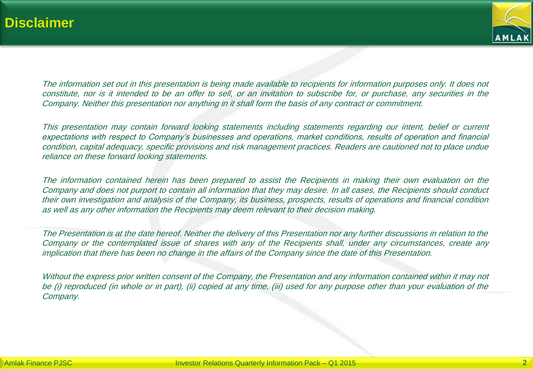

The information set out in this presentation is being made available to recipients for information purposes only. It does not constitute, nor is it intended to be an offer to sell, or an invitation to subscribe for, or purchase, any securities in the Company. Neither this presentation nor anything in it shall form the basis of any contract or commitment.

This presentation may contain forward looking statements including statements regarding our intent, belief or current expectations with respect to Company's businesses and operations, market conditions, results of operation and financial condition, capital adequacy, specific provisions and risk management practices. Readers are cautioned not to place undue reliance on these forward looking statements.

The information contained herein has been prepared to assist the Recipients in making their own evaluation on the Company and does not purport to contain all information that they may desire. In all cases, the Recipients should conduct their own investigation and analysis of the Company, its business, prospects, results of operations and financial condition as well as any other information the Recipients may deem relevant to their decision making.

The Presentation is at the date hereof. Neither the delivery of this Presentation nor any further discussions in relation to the Company or the contemplated issue of shares with any of the Recipients shall, under any circumstances, create any implication that there has been no change in the affairs of the Company since the date of this Presentation.

Without the express prior written consent of the Company, the Presentation and any information contained within it may not be (i) reproduced (in whole or in part), (ii) copied at any time, (iii) used for any purpose other than your evaluation of the Company.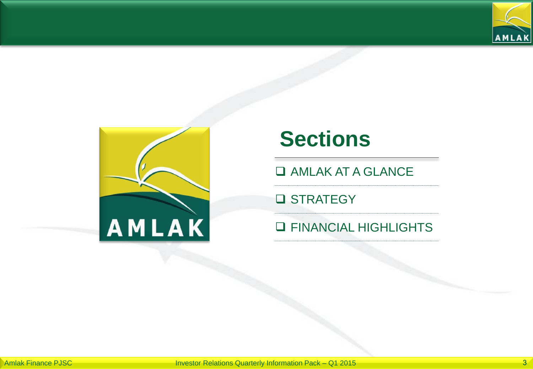



# **Sections**

**Q AMLAK AT A GLANCE** 

**Q** STRATEGY

#### **Q FINANCIAL HIGHLIGHTS**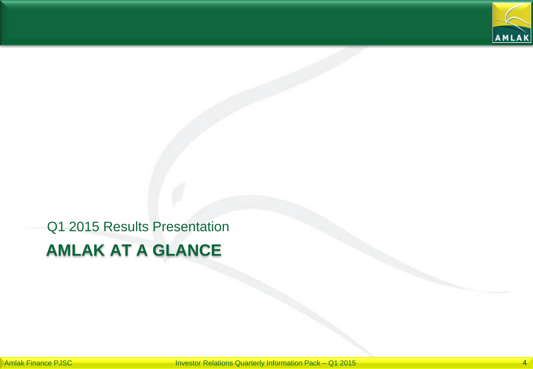

# **AMLAK AT A GLANCE** Q1 2015 Results Presentation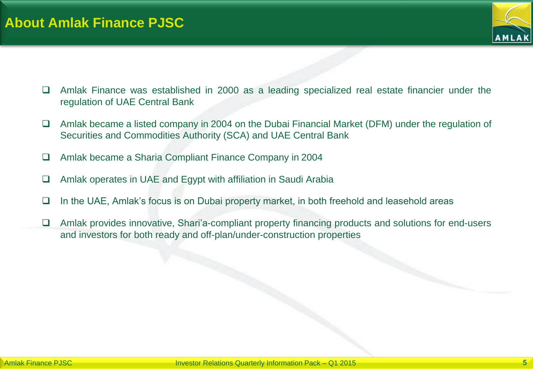

- Amlak Finance was established in 2000 as a leading specialized real estate financier under the regulation of UAE Central Bank
- $\Box$  Amlak became a listed company in 2004 on the Dubai Financial Market (DFM) under the regulation of Securities and Commodities Authority (SCA) and UAE Central Bank
- Amlak became a Sharia Compliant Finance Company in 2004
- Amlak operates in UAE and Egypt with affiliation in Saudi Arabia
- $\Box$  In the UAE, Amlak's focus is on Dubai property market, in both freehold and leasehold areas
- □ Amlak provides innovative, Shari'a-compliant property financing products and solutions for end-users and investors for both ready and off-plan/under-construction properties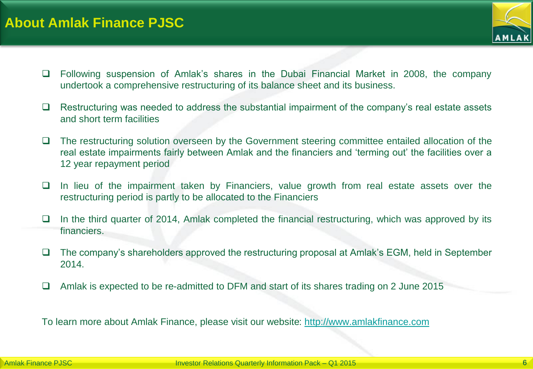

- Following suspension of Amlak's shares in the Dubai Financial Market in 2008, the company undertook a comprehensive restructuring of its balance sheet and its business.
- $\Box$  Restructuring was needed to address the substantial impairment of the company's real estate assets and short term facilities
- $\Box$  The restructuring solution overseen by the Government steering committee entailed allocation of the real estate impairments fairly between Amlak and the financiers and 'terming out' the facilities over a 12 year repayment period
- $\Box$  In lieu of the impairment taken by Financiers, value growth from real estate assets over the restructuring period is partly to be allocated to the Financiers
- $\Box$  In the third quarter of 2014, Amlak completed the financial restructuring, which was approved by its financiers.
- $\Box$  The company's shareholders approved the restructuring proposal at Amlak's EGM, held in September 2014.
- □ Amlak is expected to be re-admitted to DFM and start of its shares trading on 2 June 2015

To learn more about Amlak Finance, please visit our website: [http://www.amlakfinance.com](http://www.amlakfinance.com/)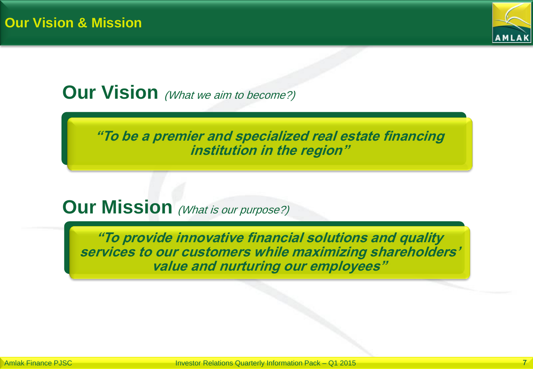

## **Our Vision** (What we aim to become?)

**"To be a premier and specialized real estate financing institution in the region"**

## **Our Mission** (What is our purpose?)

**"To provide innovative financial solutions and quality services to our customers while maximizing shareholders' value and nurturing our employees"**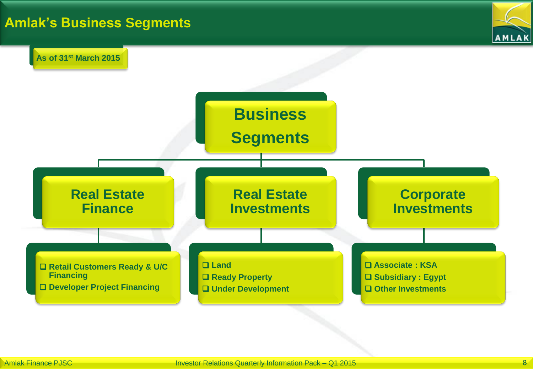## **Amlak's Business Segments**



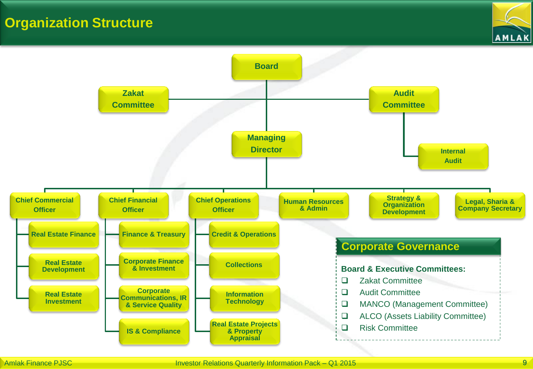#### **Organization Structure**



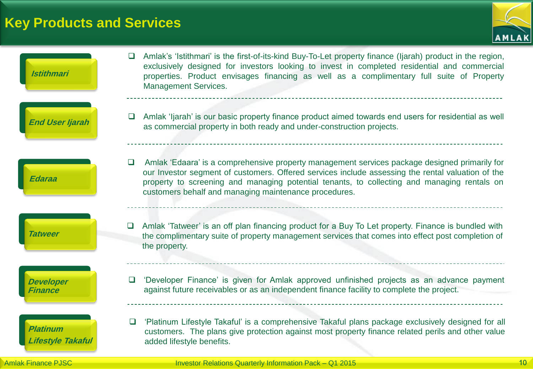## **Key Products and Services**





Amlak Finance PJSC **International Control of the United States and Tenach Control of the United States and Tenach Control of the United States and Tenach Control of the United States and Tenach Control of the United States**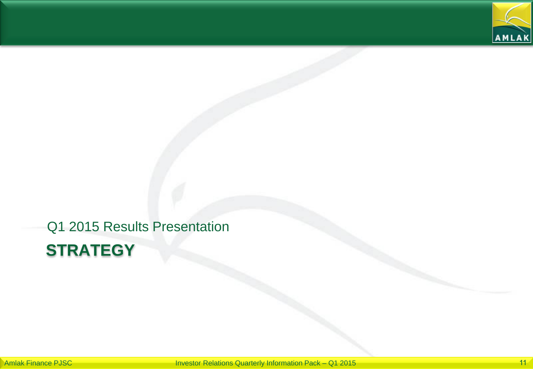

# **STRATEGY** Q1 2015 Results Presentation

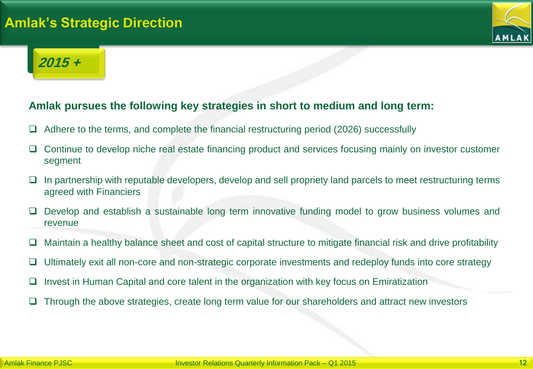### **Amlak's Strategic Direction**



## **2015 +**

#### **Amlak pursues the following key strategies in short to medium and long term:**

- Adhere to the terms, and complete the financial restructuring period (2026) successfully
- Continue to develop niche real estate financing product and services focusing mainly on investor customer segment
- $\Box$  In partnership with reputable developers, develop and sell propriety land parcels to meet restructuring terms agreed with Financiers
- Develop and establish a sustainable long term innovative funding model to grow business volumes and revenue
- $\Box$  Maintain a healthy balance sheet and cost of capital structure to mitigate financial risk and drive profitability
- $\Box$  Ultimately exit all non-core and non-strategic corporate investments and redeploy funds into core strategy
- $\Box$  Invest in Human Capital and core talent in the organization with key focus on Emiratization
- $\Box$  Through the above strategies, create long term value for our shareholders and attract new investors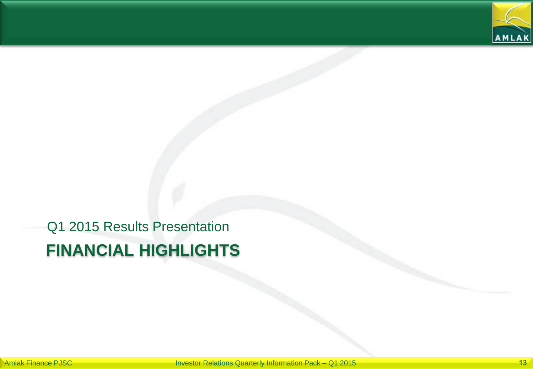

# **FINANCIAL HIGHLIGHTS** Q1 2015 Results Presentation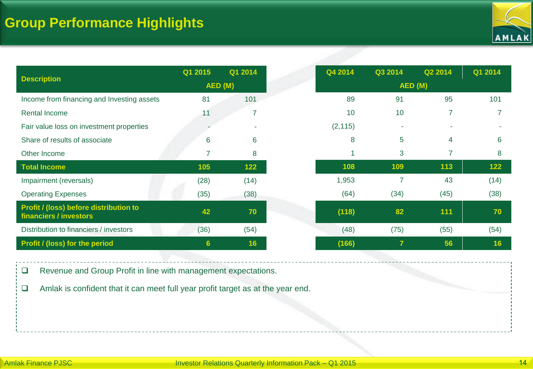

| <b>Description</b>                                               | Q1 2015 | Q1 2014 |        | Q4 2014  | Q3 2014                 | Q2 2014                  | Q1 2014 |
|------------------------------------------------------------------|---------|---------|--------|----------|-------------------------|--------------------------|---------|
|                                                                  | AED (M) |         | AED(M) |          |                         |                          |         |
| Income from financing and Investing assets                       | 81      | 101     |        | 89       | 91                      | 95                       | 101     |
| <b>Rental Income</b>                                             | 11      |         |        | 10       | 10                      | $\overline{\phantom{a}}$ |         |
| Fair value loss on investment properties                         |         |         |        | (2, 115) | ٠                       |                          |         |
| Share of results of associate                                    | 6       | 6       |        | 8        | 5                       | 4                        | 6       |
| Other Income                                                     | 7       | 8       |        |          | 3                       | 7                        | 8       |
| <b>Total Income</b>                                              | 105     | 122     |        | 108      | 109                     | 113                      | 122     |
| Impairment (reversals)                                           | (28)    | (14)    |        | 1,953    | 7                       | 43                       | (14)    |
| <b>Operating Expenses</b>                                        | (35)    | (38)    |        | (64)     | (34)                    | (45)                     | (38)    |
| Profit / (loss) before distribution to<br>financiers / investors | 42      | 70      |        | (118)    | 82                      | 111                      | 70      |
| Distribution to financiers / investors                           | (36)    | (54)    |        | (48)     | (75)                    | (55)                     | (54)    |
| Profit / (loss) for the period                                   | 6       | 16      |        | (166)    | $\overline{\mathbf{z}}$ | 56                       | 16      |

Revenue and Group Profit in line with management expectations.

Amlak is confident that it can meet full year profit target as at the year end.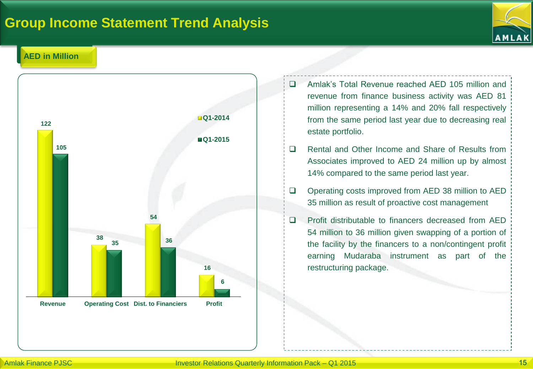#### **Group Income Statement Trend Analysis**



#### **AED in Million**



- Amlak's Total Revenue reached AED 105 million and revenue from finance business activity was AED 81 million representing a 14% and 20% fall respectively from the same period last year due to decreasing real estate portfolio.
- □ Rental and Other Income and Share of Results from Associates improved to AED 24 million up by almost 14% compared to the same period last year.
- □ Operating costs improved from AED 38 million to AED 35 million as result of proactive cost management
- □ Profit distributable to financers decreased from AED 54 million to 36 million given swapping of a portion of the facility by the financers to a non/contingent profit earning Mudaraba instrument as part of the restructuring package.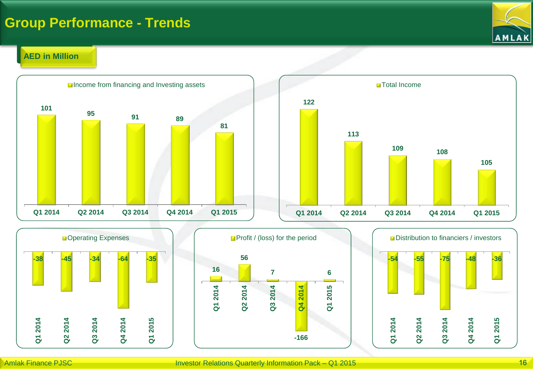#### **Group Performance - Trends**

# **AMLAK**

#### **AED in Million**







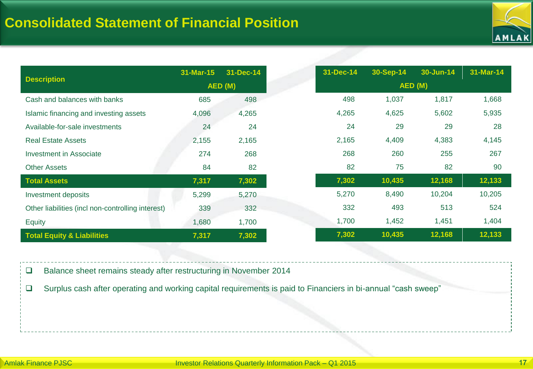

| <b>Description</b>                                | 31-Mar-15 | 31-Dec-14 |         | 31-Dec-14 | 30-Sep-14 | 30-Jun-14 | 31-Mar-14 |
|---------------------------------------------------|-----------|-----------|---------|-----------|-----------|-----------|-----------|
|                                                   | AED (M)   |           | AED (M) |           |           |           |           |
| Cash and balances with banks                      | 685       | 498       |         | 498       | 1,037     | 1,817     | 1,668     |
| Islamic financing and investing assets            | 4,096     | 4,265     |         | 4,265     | 4,625     | 5,602     | 5,935     |
| Available-for-sale investments                    | 24        | 24        |         | 24        | 29        | 29        | 28        |
| <b>Real Estate Assets</b>                         | 2,155     | 2,165     |         | 2,165     | 4,409     | 4,383     | 4,145     |
| <b>Investment in Associate</b>                    | 274       | 268       |         | 268       | 260       | 255       | 267       |
| <b>Other Assets</b>                               | 84        | 82        |         | 82        | 75        | 82        | 90        |
| <b>Total Assets</b>                               | 7,317     | 7,302     |         | 7,302     | 10,435    | 12,168    | 12,133    |
| Investment deposits                               | 5,299     | 5,270     |         | 5,270     | 8,490     | 10,204    | 10,205    |
| Other liabilities (incl non-controlling interest) | 339       | 332       |         | 332       | 493       | 513       | 524       |
| <b>Equity</b>                                     | 1,680     | 1,700     |         | 1,700     | 1,452     | 1,451     | 1,404     |
| <b>Total Equity &amp; Liabilities</b>             | 7,317     | 7,302     |         | 7,302     | 10,435    | 12,168    | 12,133    |

□ Balance sheet remains steady after restructuring in November 2014

Surplus cash after operating and working capital requirements is paid to Financiers in bi-annual "cash sweep"